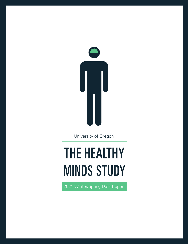

University of Oregon

# **THE HEALTHY MINDS STUDY**

2021 Winter/Spring Data Report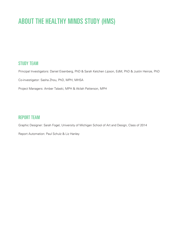# ABOUT THE HEALTHY MINDS STUDY (HMS)

## STUDY TEAM

Principal Investigators: Daniel Eisenberg, PhD & Sarah Ketchen Lipson, EdM, PhD & Justin Heinze, PhD

Co-investigator: Sasha Zhou, PhD, MPH, MHSA

Project Managers: Amber Talaski, MPH & Akilah Patterson, MPH

### REPORT TEAM

Graphic Designer: Sarah Fogel, University of Michigan School of Art and Design, Class of 2014

Report Automation: Paul Schulz & Liz Hanley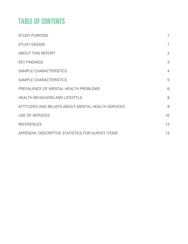# TABLE OF CONTENTS

| <b>STUDY PURPOSE</b>                               | 1              |
|----------------------------------------------------|----------------|
| <b>STUDY DESIGN</b>                                | $\mathbf{1}$   |
| <b>ABOUT THIS REPORT</b>                           | $\overline{2}$ |
| <b>KEY FINDINGS</b>                                | 3              |
| SAMPLE CHARACTERISTICS                             | $\overline{4}$ |
| SAMPLE CHARACTERISTICS                             | 5              |
| PREVALENCE OF MENTAL HEALTH PROBLEMS               | 6              |
| <b>HEALTH BEHAVIORS AND LIFESTYLE</b>              | 8              |
| ATTITUDES AND BELIEFS ABOUT MENTAL HEALTH SERVICES | $9\,$          |
| <b>USE OF SERVICES</b>                             | 10             |
| <b>REFERENCES</b>                                  | 12             |
| APPENDIX: DESCRIPTIVE STATISTICS FOR SURVEY ITEMS  | 13             |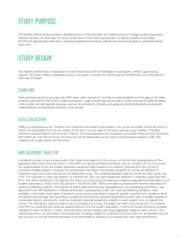# <span id="page-3-0"></span>STUDY PURPOSE

The Healthy Minds Study provides a detailed picture of mental health and related issues in college student populations. Schools typically use their data for some combination of the following purposes: to identify needs and priorities; benchmark against peer institutions; evaluate programs and policies; plan for services and programs; and advocate for resources.

# STUDY DESIGN

The Healthy Minds Study is designed to protect the privacy and confidentiality of participants. HMS is approved by Advarra. To further protect respondent privacy, the study is covered by a Certificate of Confidentiality from the National Institutes of Health.

## **SAMPLING**

Each participating school provides the HMS team with a sample of currently enrolled students over the age of 18, either randomly selected or their entire student population. Large schools typically provide a random sample of 4,000 students, while smaller schools typically provide a sample of all students. Schools with graduate students typically include both undergraduates and graduate students in the sample.

### DATA COLLECTION

HMS is a web-based survey. Students are invited and reminded to participate in the survey via emails, which are timed to avoid, if at all possible, the first two weeks of the term, the last week of the term, and any major holidays. The data collection protocol begins with an email invitation, and non-responders are contacted up to three times by email reminders. Reminders are only sent to those who have not yet completed the survey. Each communication contains a URL that students use to gain access to the survey.

### NON-RESPONSE ANALYSIS

A potential concern in any survey study is that those who respond to the survey will not be fully representative of the population from which they are drawn. In the HMS, we can be confident that those who are invited to fill out the survey are representative of the full student population because these students are randomly selected from the full list of currently enrolled students. However it is still possible that those who actually complete the survey are different in important ways from those who do not complete the survey. The overall participation rate for the Winter 2021 study was 13%. It is important to raise the question of whether the 13% who participated are different in important ways from the 87% who did not participate. We address this issue by constructing non-response weights using administrative data on full student populations. Most of the 102 schools in the Winter 2021 HMS were able to provide administrative data about all randomly selected students. The analysis of these administrative data, separated from any identifying information, was approved in the IRB application at Advarra and at each participating school. We used the following variables, when available, to estimate which types of students were more or less likely to respond: gender, race/ethnicity, academic level, and grade point average. We used these variables to estimate the response propensity of each type of student (based on multivariate logistic regressions), and then assigned response propensity weights to each student who completed the survey. The less likely a type of student was to complete the survey, the larger the weight they received in the analysis, such that the weighted estimates are representative of the full student population in terms of the administrative variables available for each institution. Finally, note that these sample weights give equal aggregate weight to each school in the national estimates. An alternative would have been to assign weights in proportion to school size, but we decided that we did not want our overall national estimates to be dominated by schools in our sample with very large enrollments.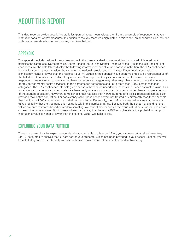# <span id="page-4-0"></span>ABOUT THIS REPORT

This data report provides descriptive statistics (percentages, mean values, etc.) from the sample of respondents at your institution for a set of key measures. In addition to the key measures highlighted in this report, an appendix is also included with descriptive statistics for each survey item (see below).

### APPENDIX

The appendix includes values for most measures in the three standard survey modules that are administered on all participating campuses: Demographics, Mental Health Status, and Mental Health Services Utilization/Help-Seeking. For each measure, the data tables display the following information: the value table for your institution, the 95% confidence interval for your institution's value, the value for the national sample, and an indicator if your institution's value is significantly higher or lower than the national value. All values in the appendix have been weighted to be representative of the full student populations to which they refer (see Non-response Analysis). Also note that for some measures, respondents were allowed to check more than one response category (e.g., they might have gone to more than one type of provider for mental health services), so the percentages sometimes add up to more than 100% across response categories. The 95% confidence intervals give a sense of how much uncertainty there is about each estimated value. This uncertainty exists because our estimates are based only on a random sample of students, rather than a complete census of the student population. However, some schools that had less than 4,000 students (the typical requested sample size), provided their entire population. For consistency sake, these schools were not treated any differently than those schools that provided a 4,000 student sample of their full population. Essentially, the confidence interval tells us that there is a 95% probability that the true population value is within this particular range. Because both the school-level and national values are only estimates based on random sampling, we cannot say for certain that your institution's true value is above or below the national value. But in cases where we can say that there is a 95% or higher statistical probability that your institution's value is higher or lower than the national value, we indicate this.

## EXPLORING YOUR DATA FURTHER

There are two options for exploring your data beyond what is in this report. First, you can use statistical software (e.g., SPSS, Stata, etc.) to analyze the full data set for your students, which has been provided to your school. Second, you will be able to log on to a user-friendly website with drop-down menus, at data.healthymindsnetwork.org.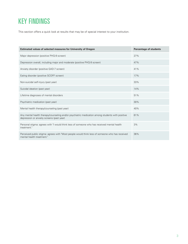# <span id="page-5-0"></span>KEY FINDINGS

This section offers a quick look at results that may be of special interest to your institution.

| Estimated values of selected measures for University of Oregon                                                                               | <b>Percentage of students</b> |
|----------------------------------------------------------------------------------------------------------------------------------------------|-------------------------------|
| Major depression (positive PHQ-9 screen)                                                                                                     | 27%                           |
| Depression overall, including major and moderate (positive PHQ-9 screen)                                                                     | 47%                           |
| Anxiety disorder (positive GAD-7 screen)                                                                                                     | 41%                           |
| Eating disorder (positive SCOFF screen)                                                                                                      | 17%                           |
| Non-suicidal self-injury (past year)                                                                                                         | 33%                           |
| Suicidal ideation (past year)                                                                                                                | 14%                           |
| Lifetime diagnoses of mental disorders                                                                                                       | 51%                           |
| Psychiatric medication (past year)                                                                                                           | 30%                           |
| Mental health therapy/counseling (past year)                                                                                                 | 40%                           |
| Any mental health therapy/counseling and/or psychiatric medication among students with positive<br>depression or anxiety screens (past year) | 61%                           |
| Personal stigma: agrees with "I would think less of someone who has received mental health<br>treatment."                                    | 3%                            |
| Perceived public stigma: agrees with "Most people would think less of someone who has received<br>mental health treatment."                  | 36%                           |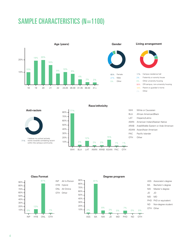# <span id="page-6-0"></span>SAMPLE CHARACTERISTICS (N=1100)





# 2% Fraternity or sorority house 17% Campus residence hall

2% Other 18% Parent or guardian's home 56% Off-campus, non-university housing 6% Other university housing

**Anti-racism**



within the campus community

WHI BLA LAT AMIN ARAB ASIAN PAC OTH 10% 20% 30% 40% 50% 60% 70%  $80\% - \frac{77\%}{ }$ 3% 12% 2% 2% 15% 1% 1%

**Race/ethnicity**

OTH Other PAC Pacific Islander ASIAN Asian/Asian American ARAB Arab/Middle Eastern or Arab American AMIN American Indian/Alaskan Native LAT Hispanic/Latino BLA African American/Black WHI White or Caucasian

**Class Format**



**Degree program**





- BA Bachelor's degree
- MA Master's degree
- JD JD
- MD MD
- PHD PhD or equivalent
- OTH Other ND Non-degree student

4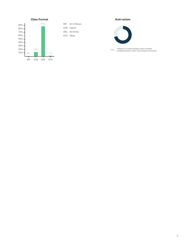<span id="page-7-0"></span>

OTH Other ONL All Online HYB Hybrid INP All In-Person

#### **Anti-racism**



I believe my school actively works towards combating racism within the campus community 71%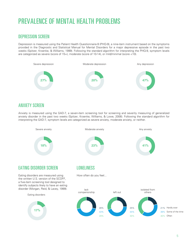# <span id="page-8-0"></span>PREVALENCE OF MENTAL HEALTH PROBLEMS

### DEPRESSION SCREEN

Depression is measured using the Patient Health Questionnaire-9 (PHQ-9), a nine-item instrument based on the symptoms provided in the Diagnostic and Statistical Manual for Mental Disorders for a major depressive episode in the past two weeks (Spitzer, Kroenke, & Williams, 1999). Following the standard algorithm for interpreting the PHQ-9, symptom levels are categorized as severe (score of 15+), moderate (score of 10-14), or mild/minimal (score <10).



### ANXIETY SCREEN

Anxiety is measured using the GAD-7, a seven-item screening tool for screening and severity measuring of generalized anxiety disorder in the past two weeks (Spitzer, Kroenke, Williams, & Lowe, 2006). Following the standard algorithm for interpreting the GAD-7, symptom levels are categorized as severe anxiety, moderate anxiety, or neither.

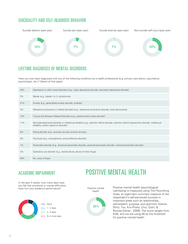## SUICIDALITY AND SELF-INJUROUS BEHAVIOR



## LIFETIME DIAGNOSES OF MENTAL DISORDERS

Have you ever been diagnosed with any of the following conditions by a health professional (e.g. primary care doctor, psychiatrist, psychologist, etc.)? (Select all that apply)

| 35%   | Depression or other mood disorders (e.g., major depressive disorder, persistent depressive disorder)                                                                                      |
|-------|-------------------------------------------------------------------------------------------------------------------------------------------------------------------------------------------|
| 3%    | Bipolar (e.g., bipolar I or II, cyclothymia)                                                                                                                                              |
| 41%   | Anxiety (e.g., generalized anxiety disorder, phobias)                                                                                                                                     |
| 3%    | Obsessive-compulsive or related disorders (e.g., obsessive-compulsive disorder, body dysmorphia)                                                                                          |
| 10%   | Trauma and Stressor Related Disorders (e.g., posttraumatic stress disorder)                                                                                                               |
| 11%   | Neurodevelopmental disorder or intellectual disability (e.g., attention deficit disorder, attention deficit hyperactivity disorder, intellectual<br>disability, autism spectrum disorder) |
| 6%    | Eating disorder (e.g., anorexia nervosa, bulimia nervosa)                                                                                                                                 |
| 0%    | Psychosis (e.g., schizophrenia, schizo-affective disorder)                                                                                                                                |
| $1\%$ | Personality disorder (e.g., antisocial personality disorder, paranoid personality disorder, schizoid personality disorder)                                                                |
| 2%    | Substance use disorder (e.g., alcohol abuse, abuse of other drugs)                                                                                                                        |
| 49%   | No, none of these                                                                                                                                                                         |

## ACADEMIC IMPAIRMENT

In the past 4 weeks, how many days have you felt that emotional or mental difficulties have hurt your academic performance?



POSITIVE MENTAL HEALTH

Positive mental health



Positive mental health (psychological well-being) is measured using The Flourishing Scale, an eight-item summary measure of the respondent's self-perceived success in important areas such as relationships, self-esteem, purpose, and optimism (Diener, Wirtz, Tov, Kim-Prieto, Choi, Oishi, & Biswas-Diener , 2009). The score ranges from 8-56, and we are using 48 as the threshold for positive mental health.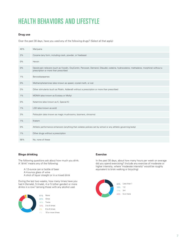# <span id="page-10-0"></span>HEALTH BEHAVIORS AND LIFESTYLE

#### **Drug use**

Over the past 30 days, have you used any of the following drugs? (Select all that apply)

| 40%   | Marijuana                                                                                                                                                                    |
|-------|------------------------------------------------------------------------------------------------------------------------------------------------------------------------------|
| 2%    | Cocaine (any form, including crack, powder, or freebase)                                                                                                                     |
| 0%    | Heroin                                                                                                                                                                       |
| 0%    | Opioid pain relievers (such as Vicodin, OxyContin, Percocet, Demerol, Dilaudid, codeine, hydrocodone, methadone, morphine) without a<br>prescription or more than prescribed |
| $1\%$ | Benzodiazepenes                                                                                                                                                              |
| 0%    | Methamphetamines (also known as speed, crystal meth, or ice)                                                                                                                 |
| 3%    | Other stimulants (such as Ritalin, Adderall) without a prescription or more than prescribed                                                                                  |
| $1\%$ | MDMA (also known as Ecstasy or Molly)                                                                                                                                        |
| 0%    | Ketamine (also known as K, Special K)                                                                                                                                        |
| $1\%$ | LSD (also known as acid)                                                                                                                                                     |
| 3%    | Psilocybin (also known as magic mushrooms, boomers, shrooms)                                                                                                                 |
| $1\%$ | Kratom                                                                                                                                                                       |
| 0%    | Athletic performance enhancers (anything that violates policies set by school or any athletic governing body)                                                                |
| $1\%$ | Other drugs without a prescription                                                                                                                                           |
| 58%   | No, none of these                                                                                                                                                            |

#### **Binge drinking**

The following questions ask about how much you drink. A "drink" means any of the following:

- A 12-ounce can or bottle of beer
- A 4-ounce glass of wine
- A shot of liquor straight or in a mixed drink

During the last two weeks, how many times have you had 4 (female), 5 (male), 4 or 5 (other gender) or more drinks in a row? (among those with any alcohol use)



#### **Exercise**

In the past 30 days, about how many hours per week on average did you spend exercising? (include any exercise of moderate or higher intensity, where "moderate intensity" would be roughly equivalent to brisk walking or bicycling)

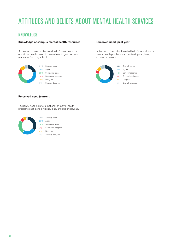# <span id="page-11-0"></span>ATTITUDES AND BELIEFS ABOUT MENTAL HEALTH SERVICES

### **KNOWLEDGE**

#### **Knowledge of campus mental health resources**

If I needed to seek professional help for my mental or emotional health, I would know where to go to access resources from my school.



### **Perceived need (past year)**

In the past 12 months, I needed help for emotional or mental health problems such as feeling sad, blue, anxious or nervous.



#### **Perceived need (current)**

I currently need help for emotional or mental health problems such as feeling sad, blue, anxious or nervous.



7% Somewhat disagree 26% Somewhat agree

2% Strongly disagree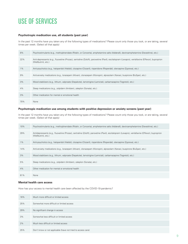# <span id="page-12-0"></span>USE OF SERVICES

### **Psychotropic medication use, all students (past year)**

In the past 12 months have you taken any of the following types of medications? Please count only those you took, or are taking, several times per week. (Select all that apply)

| 8%    | Psychostimulants (e.g., methylphenidate (Ritalin, or Concerta), amphetamine salts (Adderall), dextroamphetamine (Dexedrine), etc.)                                     |
|-------|------------------------------------------------------------------------------------------------------------------------------------------------------------------------|
| 22%   | Anti-depressants (e.g., fluoxetine (Prozac), sertraline (Zoloft), paroxetine (Paxil), escitalopram (Lexapro), venlafaxine (Effexor), buproprion<br>(Wellbutrin), etc.) |
| $1\%$ | Anti-psychotics (e.g., haloperidol (Haldol), clozapine (Clozaril), risperidone (Risperdal), olanzapine (Zyprexa), etc.)                                                |
| 9%    | Anti-anxiety medications (e.g., Iorazepam (Ativan), clonazepam (Klonopin), alprazolam (Xanax), buspirone (BuSpar), etc.)                                               |
| 3%    | Mood stabilizers (e.g., lithium, valproate (Depakote), lamotrigine (Lamictal), carbamazapine (Tegretol), etc.)                                                         |
| 4%    | Sleep medications (e.g., zolpidem (Ambien), zaleplon (Sonata), etc.)                                                                                                   |
| 3%    | Other medication for mental or emotional health                                                                                                                        |
| 70%   | None                                                                                                                                                                   |

#### **Psychotropic medication use among students with positive depression or anxiety screens (past year)**

In the past 12 months have you taken any of the following types of medications? Please count only those you took, or are taking, several times per week. (Select all that apply)

| 10%   | Psychostimulants (e.g., methylphenidate (Ritalin, or Concerta), amphetamine salts (Adderall), dextroamphetamine (Dexedrine), etc.)                                    |
|-------|-----------------------------------------------------------------------------------------------------------------------------------------------------------------------|
| 29%   | Antidepressants (e.g., fluoxetine (Prozac), sertraline (Zoloft), paroxetine (Paxil), escitalopram (Lexapro), venlafaxine (Effexor), buproprion<br>(Wellbutrin), etc.) |
| $1\%$ | Anti-psychotics (e.g., haloperidol (Haldol), clozapine (Clozaril), risperidone (Risperdal), olanzapine (Zyprexa), etc.)                                               |
| 14%   | Anti-anxiety medications (e.g., Iorazepam (Ativan), clonazepam (Klonopin), alprazolam (Xanax), buspirone (BuSpar), etc.)                                              |
| 3%    | Mood stabilizers (e.g., lithium, valproate (Depakote), lamotrigine (Lamictal), carbamazapine (Tegretol), etc.)                                                        |
| 5%    | Sleep medications (e.g., zolpidem (Ambien), zaleplon (Sonata), etc.)                                                                                                  |
| 4%    | Other medication for mental or emotional health                                                                                                                       |
| 61%   | None                                                                                                                                                                  |

#### **Mental health care access**

How has your access to mental health care been affected by the COVID-19 pandemic?

| 16% | Much more difficult or limited access                        |
|-----|--------------------------------------------------------------|
| 25% | Somewhat more difficult or limited access                    |
| 29% | No significant change in access                              |
| 3%  | Somewhat less difficult or limited access                    |
| 2%  | Much less difficult or limited access                        |
| 25% | Don't know or not applicable (have not tried to access care) |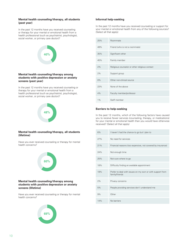#### **Mental health counseling/therapy, all students (past year)**

In the past 12 months have you received counseling or therapy for your mental or emotional health from a health professional (such as psychiatrist, psychologist, social worker, or primary care doctor)?



#### **Mental health counseling/therapy among students with positive depression or anxiety screens (past year)**

In the past 12 months have you received counseling or therapy for your mental or emotional health from a health professional (such as psychiatrist, psychologist, social worker, or primary care doctor)?



#### **Mental health counseling/therapy, all students (lifetime)**

Have you ever received counseling or therapy for mental health concerns?



#### **Mental health counseling/therapy among students with positive depression or anxiety screens (lifetime)**

Have you ever received counseling or therapy for mental health concerns?



### **Informal help-seeking**

In the past 12 months have you received counseling or support for your mental or emotional health from any of the following sources? (Select all that apply)

| 25%   | Roommate                                       |
|-------|------------------------------------------------|
| 49%   | Friend (who is not a roommate)                 |
| 35%   | Significant other                              |
| 45%   | Family member                                  |
| 2%    | Religious counselor or other religious contact |
| 2%    | Support group                                  |
| $0\%$ | Other non-clinical source                      |
| 23%   | None of the above                              |
| 4%    | Faculty member/professor                       |
| $1\%$ | Staff member                                   |

### **Barriers to help-seeking**

In the past 12 months, which of the following factors have caused you to receive fewer services (counseling, therapy, or medications) for your mental or emotional health than you would have otherwise received? (Select all that apply)

| 6%  | I haven't had the chance to go but I plan to                                |
|-----|-----------------------------------------------------------------------------|
| 27% | No need for services                                                        |
| 21% | Financial reasons (too expensive, not covered by insurance)                 |
| 24% | Not enough time                                                             |
| 25% | Not sure where to go                                                        |
| 18% | Difficulty finding an available appointment                                 |
| 19% | Prefer to deal with issues on my own or with support from<br>family/friends |
| 2%  | Privacy concerns                                                            |
| 5%  | People providing services don't understand me                               |
| 9%  | Other                                                                       |
| 14% | No barriers                                                                 |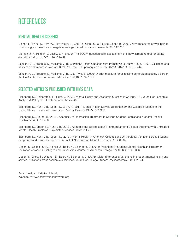# <span id="page-14-0"></span>**REFERENCES**

### MENTAL HEALTH SCREENS

Diener, E., Wirtz, D., Tov, W., Kim-Prieto, C., Choi, D., Oishi, S., & Biswas-Diener, R. (2009). New measures of well-being: Flourishing and positive and negative feelings. Social Indicators Research, 39, 247-266.

Morgan, J. F., Reid, F., & Lacey, J. H. (1999). The SCOFF questionnaire: assessment of a new screening tool for eating disorders BMJ, 319(7223), 1467-1468.

Spitzer, R. L., Kroenke, K., Williams, J. B., & Patient Health Questionnaire Primary Care Study Group. (1999). Validation and utility of a self-report version of PRIME-MD: the PHQ primary care study. JAMA, 282(18), 1737-1744.

Spitzer, R. L., Kroenke, K., Williams, J. B., & L¶we, B. (2006). A brief measure for assessing generalized anxiety disorder: the GAD-7. Archives of Internal Medicine, 166(10), 1092-1097.

## SELECTED ARTICLES PUBLISHED WITH HMS DATA

Eisenberg, D., Golberstein, E., Hunt, J. (2009). Mental Health and Academic Success in College. B.E. Journal of Economic Analysis & Policy 9(1) (Contributions): Article 40.

Eisenberg, D., Hunt, J.B., Speer, N., Zivin, K. (2011). Mental Health Service Utilization among College Students in the United States. Journal of Nervous and Mental Disease 199(5): 301-308.

Eisenberg, D., Chung, H. (2012). Adequacy of Depression Treatment in College Student Populations. General Hospital Psychiatry 34(3):213-220.

Eisenberg, D., Speer, N., Hunt, J.B. (2012). Attitudes and Beliefs about Treatment among College Students with Untreated Mental Health Problems. Psychiatric Services 63(7): 711-713.

Eisenberg, D., Hunt, J.B., Speer, N. (2013). Mental Health in American Colleges and Universities: Variation across Student Subgroups and across Campuses. Journal of Nervous and Mental Disease 201(1): 60-67.

Lipson, S., Gaddis, S.M., Heinze, J., Beck, K., Eisenberg, D. (2015). Variations in Student Mental Health and Treatment Utilization Across US Colleges and Universities. Journal of American College Health, 63(6): 388-396.

Lipson, S., Zhou, S., Wagner, B., Beck, K., Eisenberg, D. (2016). Major differences: Variations in student mental health and service utilization across academic disciplines. Journal of College Student Psychotherapy, 30(1), 23-41.

Email: healthyminds@umich.edu Website: www.healthymindsnetwork.org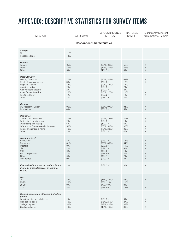# <span id="page-15-0"></span>APPENDIX: DESCRIPTIVE STATISTICS FOR SURVEY ITEMS

| <b>MEASURE</b>                                                                                                                                                                          | All Students                                       | 95% CONFIDENCE<br><b>INTERVAL</b>                                                                                                  | <b>NATIONAL</b><br>SAMPLE                           | Significantly Different<br>from National Sample                                                                  |
|-----------------------------------------------------------------------------------------------------------------------------------------------------------------------------------------|----------------------------------------------------|------------------------------------------------------------------------------------------------------------------------------------|-----------------------------------------------------|------------------------------------------------------------------------------------------------------------------|
|                                                                                                                                                                                         | <b>Respondent Characteristics</b>                  |                                                                                                                                    |                                                     |                                                                                                                  |
| Sample<br>Ν<br>Response Rate                                                                                                                                                            | 1100<br>14%                                        |                                                                                                                                    |                                                     |                                                                                                                  |
| Gender<br>Female<br>Male<br>Other                                                                                                                                                       | 65%<br>27%<br>5%                                   | $(62\%, 68\%)$<br>$(24\%, 30\%)$<br>$(4\%, 7\%)$                                                                                   | 58%<br>39%<br>3%                                    | X<br>$\mathsf X$<br>$\mathsf X$                                                                                  |
| Race/Ethnicity<br>White / Caucasian<br>Black / African American<br>Hispanic / Latino<br>American Indian<br>Arab / Middle Eastern<br>Asian / Asian American<br>Pacific Islander<br>Other | 77%<br>3%<br>12%<br>2%<br>2%<br>15%<br>1%<br>$1\%$ | $(75\%, 80\%)$<br>$(2\%, 5\%)$<br>$(10\%, 14\%)$<br>$(1\%, 3\%)$<br>$(1\%, 3\%)$<br>$(13\%, 17\%)$<br>$(1\%, 2\%)$<br>$(1\%, 2\%)$ | 63%<br>17%<br>12%<br>2%<br>2%<br>11%<br>$1\%$<br>2% | X<br>X<br>X<br>$\times$                                                                                          |
| Country<br>US Resident / Citizen<br>International                                                                                                                                       | 96%<br>4%                                          | $(95\%, 97\%)$<br>$(3\%, 5\%)$                                                                                                     | 94%<br>6%                                           | $\boldsymbol{\mathsf{X}}$<br>$\times$                                                                            |
| Residence<br>Campus residence hall<br>Fraternity / sorority house<br>Other campus housing<br>Off-campus / non-university housing<br>Parent or guardian's home<br>Other                  | 17%<br>2%<br>6%<br>56%<br>18%<br>2%                | $(14\%, 19\%)$<br>$(1\%, 3\%)$<br>$(4\%, 7\%)$<br>$(53\%, 59\%)$<br>$(15\%, 20\%)$<br>$(1\%, 2\%)$                                 | 21%<br>1%<br>6%<br>38%<br>30%<br>4%                 | X<br>X<br>Χ<br>$\boldsymbol{\times}$<br>X                                                                        |
| Academic level<br>Associates<br><b>Bachelors</b><br><b>Masters</b><br>JD<br><b>MD</b><br>PhD or equivalent<br>Other<br>Non-degree                                                       | 2%<br>81%<br>8%<br>2%<br>$0\%$<br>7%<br>0%<br>0%   | $(1\%, 3\%)$<br>$(78\%, 83\%)$<br>$(6\%, 9\%)$<br>$(1\%, 3\%)$<br>$(0\%, 0\%)$<br>$(6\%, 9\%)$<br>$(0\%, 1\%)$<br>$(0\%, 1\%)$     | 18%<br>64%<br>11%<br>0%<br>$1\%$<br>3%<br>2%<br>2%  | X<br>$\boldsymbol{\times}$<br>$\boldsymbol{\mathsf{X}}$<br>$\mathsf X$<br>X<br>$\boldsymbol{\times}$<br>$\times$ |
| Ever trained for or served in the military<br>(Armed Forces, Reserves, or National<br>Guard)                                                                                            | 2%                                                 | $(1\%, 3\%)$                                                                                                                       | 3%                                                  | $\mathsf X$                                                                                                      |
| Age<br>18-22<br>23-25<br>26-30<br>$31+$                                                                                                                                                 | 74%<br>10%<br>9%<br>8%                             | $(71\%, 76\%)$<br>$(8\%, 12\%)$<br>$(7\%, 10\%)$<br>$(6\%, 9\%)$                                                                   | 66%<br>11%<br>9%<br>13%                             | $\mathsf X$<br>X                                                                                                 |
| Highest educational attainment of either<br>parent<br>Less than high school degree<br>High school degree<br>College degree<br>Graduate degree                                           | 2%<br>19%<br>36%<br>43%                            | $(1\%, 3\%)$<br>$(16\%, 21\%)$<br>$(33\%, 40\%)$<br>$(40\%, 46\%)$                                                                 | 5%<br>27%<br>38%<br>30%                             | $\boldsymbol{\mathsf{X}}$<br>X<br>$\boldsymbol{\mathsf{X}}$                                                      |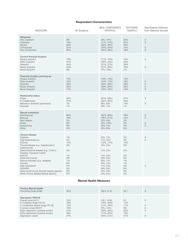### **Respondent Characteristics**

| <b>MEASURE</b>                                                                                                                                                                                                  | All Students                                 | 95% CONFIDENCE<br><b>INTERVAL</b>                                                                                            | <b>NATIONAL</b><br>SAMPLE                          | Significantly Different<br>from National Sample |
|-----------------------------------------------------------------------------------------------------------------------------------------------------------------------------------------------------------------|----------------------------------------------|------------------------------------------------------------------------------------------------------------------------------|----------------------------------------------------|-------------------------------------------------|
| Religiosity<br>Very important<br>Important<br>Neutral<br>Unimportant<br>Very unimportant                                                                                                                        | 8%<br>13%<br>23%<br>21%<br>35%               | $(6\%, 10\%)$<br>$(11\%, 15\%)$<br>$(20\%, 26\%)$<br>$(18\%, 24\%)$<br>$(32\%, 38\%)$                                        | 24%<br>22%<br>25%<br>14%<br>16%                    | $\mathsf X$<br>$\times$<br>X<br>$\times$        |
| <b>Current financial situation</b><br>Always stressful<br>Often stressful<br>Stressful<br>Rarely Stressful<br>Never Stressful                                                                                   | 13%<br>21%<br>34%<br>24%<br>8%               | $(11\%, 15\%)$<br>$(19\%, 24\%)$<br>$(31\%, 37\%)$<br>$(21\%, 26\%)$<br>$(7\%, 10\%)$                                        | 15%<br>24%<br>35%<br>19%<br>7%                     | X<br>X                                          |
| Financial situation growing up<br>Always stressful<br>Often stressful<br>Stressful<br>Rarely Stressful<br>Never Stressful                                                                                       | 12%<br>14%<br>25%<br>32%<br>17%              | $(10\%, 14\%)$<br>$(12\%, 17\%)$<br>$(22\%, 28\%)$<br>$(29\%, 35\%)$<br>$(15\%, 19\%)$                                       | 13%<br>19%<br>29%<br>26%<br>14%                    | X<br>$\mathsf X$<br>X<br>$\times$               |
| Relationship status<br>Single<br>In a relationship<br>Married or domestic partnership<br>Divorced                                                                                                               | 54%<br>37%<br>7%<br>$1\%$                    | $(51\%, 58\%)$<br>$(34\%, 40\%)$<br>$(6\%, 9\%)$<br>$(0\%, 1\%)$                                                             | 51%<br>34%<br>13%<br>$1\%$                         | X<br>X                                          |
| Sexual orientation<br>Heterosexual<br>Bisexual<br>Gay / lesbian<br>Queer<br>Questioning<br>Other                                                                                                                | 65%<br>18%<br>3%<br>8%<br>6%<br>4%           | $(62\%, 68\%)$<br>$(16\%, 21\%)$<br>$(2\%, 4\%)$<br>$(6\%, 10\%)$<br>$(4\%, 7\%)$<br>$(3\%, 6\%)$                            | 78%<br>12%<br>3%<br>3%<br>3%<br>3%                 | X<br>$\times$<br>X<br>$\times$                  |
| Chronic disease<br><b>Diabetes</b><br>High blood pressure<br>Asthma<br>Thyroid disease (e.g., hypothyroid or<br>hyperthyroid)<br>Gastrointestinal disease (e.g., Crohn's<br>Disease, Ulcerative Colitis)        | 1%<br>2%<br>14%<br>3%<br>2%                  | $(0\%, 1\%)$<br>$(1\%, 3\%)$<br>$(12\%, 17\%)$<br>$(2\%, 4\%)$<br>$(1\%, 2\%)$                                               | 2%<br>4%<br>15%<br>3%<br>2%                        | X<br>$\times$                                   |
| Arthritis<br>Sickle cell anemia<br>Seizure disorders (e.g., epilepsy)<br>Cancers<br>High cholesterol<br><b>HIV/AIDS</b><br>Other autoimmune disorder (please specify)<br>Other chronic disease (please specify) | 1%<br>0%<br>1%<br>0%<br>2%<br>0%<br>3%<br>5% | $(1\%, 2\%)$<br>$(0\%, 0\%)$<br>$(0\%, 1\%)$<br>$(0\%, 1\%)$<br>$(1\%, 2\%)$<br>$(0\%, 0\%)$<br>$(2\%, 4\%)$<br>$(4\%, 6\%)$ | 2%<br>0%<br>$1\%$<br>$1\%$<br>3%<br>0%<br>2%<br>5% | X                                               |

### **Mental Health Measures**

| <b>Positive Mental Health</b><br>Flourishing Scale (8-56)                                                                                                                                                                                  | 40.9                                           | (40.3, 41.5)                                                                                                            | 43.1                                         | X                     |
|--------------------------------------------------------------------------------------------------------------------------------------------------------------------------------------------------------------------------------------------|------------------------------------------------|-------------------------------------------------------------------------------------------------------------------------|----------------------------------------------|-----------------------|
| Depression (PHQ-9)<br>Overall score (0-27)<br>In moderate range (10-14)<br>In moderately severe range (15-19)<br>In severe range (20-27)<br>Major depression (positive screen)<br>Other depression (positive screen)<br>Depression overall | 10.5<br>18%<br>14%<br>10%<br>27%<br>20%<br>47% | (10.1, 10.9)<br>$(15\%, 20\%)$<br>$(11\%, 16\%)$<br>$(9\%, 12\%)$<br>$(24\%, 30\%)$<br>$(17\%, 23\%)$<br>$(44\%, 51\%)$ | 9.1<br>17%<br>11%<br>8%<br>22%<br>19%<br>41% | X<br>X<br>X<br>X<br>X |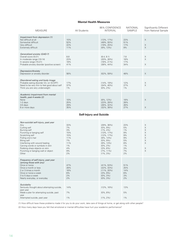#### **Mental Health Measures**

| <b>MEASURE</b>                                                                                                                                               | All Students             | 95% CONFIDENCE<br><b>INTERVAL</b>                                   | <b>NATIONAL</b><br><b>SAMPLE</b> | Significantly Different<br>from National Sample |
|--------------------------------------------------------------------------------------------------------------------------------------------------------------|--------------------------|---------------------------------------------------------------------|----------------------------------|-------------------------------------------------|
| Impairment from depression (1)<br>Not difficult at all<br>Somewhat difficult<br>Very difficult<br>Extremely difficult                                        | 15%<br>52%<br>22%<br>11% | $(13\%, 17\%)$<br>$(49\%, 55\%)$<br>$(19\%, 25\%)$<br>$(9\%, 13\%)$ | 23%<br>51%<br>17%<br>9%          | $\times$<br>$\times$<br>$\times$                |
| Generalized anxiety (GAD-7)<br>Overall score (0-21)<br>In moderate range (10-14)<br>In severe range (15-21)<br>Probable anxiety disorder (positive screen)   | 8.8<br>23%<br>18%<br>41% | (8.4, 9.1)<br>$(20\%, 26\%)$<br>$(16\%, 21\%)$<br>$(38\%, 44\%)$    | 7.8<br>18%<br>17%<br>34%         | $\times$<br>$\times$<br>$\times$                |
| Depression/Anxiety<br>Depression or anxiety disorder                                                                                                         | 56%                      | $(52\%, 59\%)$                                                      | 48%                              | $\times$                                        |
| Disordered eating and body image<br>Probable eating disorder (3+ on SCOFF)<br>Need to be very thin to feel good about self<br>Think you are very underweight | 17%<br>37%<br>$1\%$      | $(14\%, 19\%)$<br>$(34\%, 40\%)$<br>$(0\%, 2\%)$                    | 12%<br>27%<br>$1\%$              | X<br>$\times$                                   |
| Academic impairment from mental<br>health, past 4 weeks (2)<br>None<br>1-2 days<br>3-5 days<br>6 or more days                                                | 10%<br>25%<br>29%<br>35% | $(8\%, 12\%)$<br>$(23\%, 28\%)$<br>$(26\%, 32\%)$<br>$(32\%, 38\%)$ | 18%<br>28%<br>26%<br>27%         | $\times$<br>X                                   |

### **Self-Injury and Suicide**

| Non-suicidal self-injury, past year<br>Any<br>Cutting self<br>Burning self<br>Punching or banging self<br>Scratching self<br>Pulling one's hair<br><b>Biting self</b><br>Interfering with wound healing<br>Carving words or symbols in skin<br>Rubbing sharp objects on skin<br>Punching or banging wall or object<br>Other | 33%<br>7%<br>3%<br>15%<br>15%<br>11%<br>7%<br>11%<br>$1\%$<br>4%<br>9%<br>2% | $(29\%, 36\%)$<br>$(5\%, 9\%)$<br>$(1\%, 4\%)$<br>$(13\%, 17\%)$<br>$(12\%, 17\%)$<br>$(9\%, 14\%)$<br>$(5\%, 9\%)$<br>$(9\%, 13\%)$<br>$(0\%, 2\%)$<br>$(3\%, 6\%)$<br>$(7\%, 11\%)$<br>$(1\%, 3\%)$ | 23%<br>5%<br>$1\%$<br>9%<br>9%<br>9%<br>5%<br>8%<br>$1\%$<br>3%<br>7%<br>2% | $\mathsf X$<br>$\mathsf X$<br>$\times$<br>$\times$<br>$\times$<br>$\times$<br>$\times$<br>$\times$<br>X<br>$\times$ |
|-----------------------------------------------------------------------------------------------------------------------------------------------------------------------------------------------------------------------------------------------------------------------------------------------------------------------------|------------------------------------------------------------------------------|-------------------------------------------------------------------------------------------------------------------------------------------------------------------------------------------------------|-----------------------------------------------------------------------------|---------------------------------------------------------------------------------------------------------------------|
| Frequency of self-injury, past year<br>(among those with any)<br>Once or twice<br>Once a month or less<br>2 or 3 times a month<br>Once or twice a week<br>3 to 5 days a week<br>Nearly everyday, or everyday                                                                                                                | 47%<br>28%<br>16%<br>6%<br>2%<br>2%                                          | $(41\%, 53\%)$<br>$(22\%, 33\%)$<br>$(11\%, 20\%)$<br>$(3\%, 9\%)$<br>$(0\%, 3\%)$<br>$(0\%, 3\%)$                                                                                                    | 51%<br>25%<br>14%<br>6%<br>3%<br>2%                                         |                                                                                                                     |
| Suicidality<br>Seriously thought about attempting suicide,<br>past year<br>Made a plan for attempting suicide, past<br>year<br>Attempted suicide, past year                                                                                                                                                                 | 14%<br>7%<br>$1\%$                                                           | $(12\%, 16\%)$<br>$(5\%, 8\%)$<br>$(1\%, 2\%)$                                                                                                                                                        | 13%<br>5%<br>$1\%$                                                          |                                                                                                                     |

(1) How difficult have these problems made it for you to do your work, take care of things at home, or get along with other people?

(2) How many days have you felt that emotional or mental difficulties have hurt your academic performance?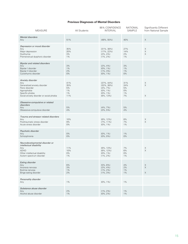### **Previous Diagnoses of Mental Disorders**

| MEASURE                                                                                                                                                 | All Students                              | 95% CONFIDENCE<br><b>INTERVAL</b>                                                                 | <b>NATIONAL</b><br>SAMPLE             | Significantly Different<br>from National Sample           |
|---------------------------------------------------------------------------------------------------------------------------------------------------------|-------------------------------------------|---------------------------------------------------------------------------------------------------|---------------------------------------|-----------------------------------------------------------|
| <b>Mental disorders</b><br>Any                                                                                                                          | 51%                                       | $(48\%, 55\%)$                                                                                    | 40%                                   | $\boldsymbol{\mathsf{X}}$                                 |
| Depression or mood disorder<br>Any<br>Major depression<br>Dysthymia<br>Premenstrual dysphoric disorder                                                  | 35%<br>20%<br>3%<br>$1\%$                 | $(31\%, 38\%)$<br>$(17\%, 22\%)$<br>$(2\%, 4\%)$<br>$(1\%, 2\%)$                                  | 27%<br>14%<br>2%<br>$1\%$             | X<br>X<br>X                                               |
| <b>Bipolar and related disorders</b><br>Any<br>Bipolar I disorder<br>Bipolar II disorder<br>Cyclothymic disorder                                        | 3%<br>1%<br>2%<br>0%                      | $(2\%, 4\%)$<br>$(0\%, 1\%)$<br>$(1\%, 3\%)$<br>$(0\%, 1\%)$                                      | 3%<br>$1\%$<br>$1\%$<br>$0\%$         |                                                           |
| Anxiety disorder<br>Any<br>Generalized anxiety disorder<br>Panic disorder<br>Agorophobia<br>Specific phobia<br>Social anxiety disorder or social phobia | 41%<br>35%<br>5%<br>$1\%$<br>$1\%$<br>11% | $(37\%, 44\%)$<br>$(32\%, 38\%)$<br>$(4\%, 7\%)$<br>$(0\%, 1\%)$<br>$(0\%, 1\%)$<br>$(8\%, 13\%)$ | 31%<br>24%<br>5%<br>0%<br>$1\%$<br>7% | X<br>$\times$<br>X                                        |
| Obsessive-compulsive or related<br>disorders<br>Any<br>Obsessive-compulsive disorder                                                                    | 5%<br>4%                                  | $(4\%, 7\%)$<br>$(2\%, 5\%)$                                                                      | 5%<br>4%                              |                                                           |
| Trauma and stressor related disorders<br>Any<br>Posttraumatic stress disorder<br>Acute stress disorder                                                  | 10%<br>9%<br>0%                           | $(8\%, 12\%)$<br>$(7\%, 11\%)$<br>$(0\%, 1\%)$                                                    | 8%<br>7%<br>$1\%$                     | $\boldsymbol{\times}$<br>$\boldsymbol{\times}$            |
| Psychotic disorder<br>Any<br>Schizophrenia                                                                                                              | 0%<br>0%                                  | $(0\%, 1\%)$<br>$(0\%, 0\%)$                                                                      | $1\%$<br>0%                           |                                                           |
| Neurodevelopmental disorder or<br>intellectual disability<br>Any<br><b>ADHD</b><br>Other intellectual disability<br>Autism spectrum disorder            | 11%<br>10%<br>0%<br>$1\%$                 | $(8\%, 13\%)$<br>$(8\%, 12\%)$<br>$(0\%, 1\%)$<br>$(1\%, 2\%)$                                    | 7%<br>6%<br>0%<br>1%                  | X<br>$\times$                                             |
| Eating disorder<br>Any<br>Anorexia nervosa<br>Bulimia nervosa<br>Binge eating disorder                                                                  | 6%<br>3%<br>1%<br>2%                      | $(5\%, 8\%)$<br>$(2\%, 4\%)$<br>$(1\%, 2\%)$<br>$(1\%, 3\%)$                                      | 4%<br>2%<br>$1\%$<br>$1\%$            | $_{\mathrm{X}}^{\mathrm{X}}$<br>$\boldsymbol{\mathsf{X}}$ |
| Personality disorder<br>Any                                                                                                                             | 1%                                        | $(0\%, 1\%)$                                                                                      | 1%                                    |                                                           |
| Substance abuse disorder<br>Any<br>Alcohol abuse disorder                                                                                               | 2%<br>$1\%$                               | $(1\%, 2\%)$<br>$(0\%, 2\%)$                                                                      | $1\%$<br>$1\%$                        |                                                           |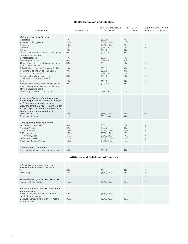### **Health Behaviors and Lifestyle**

| <b>MEASURE</b>                                                                                                                                                                                                                                                                                                                                                                                                                                                                                                                                                                                                                                         | All Students                                                                                      | 95% CONFIDENCE<br><b>INTERVAL</b>                                                                                                                                                                                                                                | <b>NATIONAL</b><br><b>SAMPLE</b>                                                                                          | Significantly Different<br>from National Sample              |
|--------------------------------------------------------------------------------------------------------------------------------------------------------------------------------------------------------------------------------------------------------------------------------------------------------------------------------------------------------------------------------------------------------------------------------------------------------------------------------------------------------------------------------------------------------------------------------------------------------------------------------------------------------|---------------------------------------------------------------------------------------------------|------------------------------------------------------------------------------------------------------------------------------------------------------------------------------------------------------------------------------------------------------------------|---------------------------------------------------------------------------------------------------------------------------|--------------------------------------------------------------|
| Substance use, past 30 days<br>Cigarettes<br>Vape pen or E-Cigarette<br>Marijuana<br>Cocaine<br>Heroin<br>Opioid pain relievers without a prescription<br>or more than prescribed<br>Benzodiazepenes<br>Methamphetamines<br>Other stimulants without a prescription or<br>more than prescribed<br>MDMA (also known as Ecstasy or Molly)<br>Ketamine (also known as K, Special K)<br>LSD (also known as acid)<br>Psilocybin (also known as magic<br>mushrooms, boomers, shrooms)<br>Kratom<br>Athletic performance enhancers (anything<br>that violates policies set by school or any<br>athletic governing body)<br>Other drugs without a prescription | 7%<br>15%<br>40%<br>2%<br>0%<br>0%<br>1%<br>0%<br>3%<br>$1\%$<br>0%<br>1%<br>3%<br>1%<br>0%<br>1% | $(5\%, 8\%)$<br>$(13\%, 18\%)$<br>$(36\%, 43\%)$<br>$(1\%, 3\%)$<br>$(0\%, 0\%)$<br>$(0\%, 1\%)$<br>$(0\%, 1\%)$<br>$(0\%, 0\%)$<br>$(2\%, 4\%)$<br>$(0\%, 2\%)$<br>$(0\%, 0\%)$<br>$(0\%, 2\%)$<br>$(2\%, 5\%)$<br>$(0\%, 2\%)$<br>$(0\%, 0\%)$<br>$(0\%, 1\%)$ | 7%<br>15%<br>20%<br>$1\%$<br>0%<br>$0\%$<br>$1\%$<br>0%<br>$1\%$<br>$0\%$<br>$0\%$<br>$1\%$<br>$1\%$<br>0%<br>$0\%$<br>1% | X<br>$\times$<br>X<br>$\times$<br>X<br>X                     |
| In the past 2 weeks, about how many<br>times did you have 4 [female]/5 [male]/4<br>or 5 [not female or male] or more<br>alcoholic drinks in a row? (1 drink is a can<br>of beer, a glass of wine, a wine cooler, a<br>shot of liquor, or a mixed drink.)<br>More than one time<br>More than 3 times                                                                                                                                                                                                                                                                                                                                                    | 34%<br>11%                                                                                        | $(31\%, 37\%)$<br>$(9\%, 13\%)$                                                                                                                                                                                                                                  | 28%<br>9%                                                                                                                 | $\mathsf X$                                                  |
| Time studying/doing homework<br>Less than 1 hour/week<br>1-2 hours/week<br>3-5 hours/week<br>6-10 hours/week<br>11-15 hours/week<br>16-20 hours/week<br>More than 20 hours/week                                                                                                                                                                                                                                                                                                                                                                                                                                                                        | 0%<br>2%<br>15%<br>26%<br>21%<br>17%<br>19%                                                       | $(0\%, 1\%)$<br>$(1\%, 3\%)$<br>$(12\%, 17\%)$<br>$(23\%, 29\%)$<br>$(18\%, 23\%)$<br>$(15\%, 20\%)$<br>$(16\%, 21\%)$                                                                                                                                           | 2%<br>6%<br>21%<br>28%<br>17%<br>12%<br>13%                                                                               | $\mathsf X$<br>$\mathsf X$<br>$\times$<br>X<br>X<br>$\times$ |
| Violence (past 12 months)<br>Did anyone strike or physically injure you?                                                                                                                                                                                                                                                                                                                                                                                                                                                                                                                                                                               | 4%                                                                                                | $(2\%, 5\%)$                                                                                                                                                                                                                                                     | 6%                                                                                                                        | $\times$                                                     |

### **Attitudes and Beliefs about Services**

| think less of someone who has<br>received mental health treatment.<br>1<br>Most people                                                                                                          | 3%<br>36%  | $(2\%, 4\%)$<br>$(33\%, 39\%)$    | 6%<br>45%  | X<br>X |
|-------------------------------------------------------------------------------------------------------------------------------------------------------------------------------------------------|------------|-----------------------------------|------------|--------|
| know where to go to access resources<br>Agree or strongly agree                                                                                                                                 | 75%        | $(72\%, 78\%)$                    | 70%        | X      |
| Beliefs about effectiveness of treatment<br>for depression<br>Believes medication is helpful or very<br>helpful for depression<br>Believes therapy is helpful or very helpful<br>for depression | 62%<br>85% | $(59\%.\,65\%)$<br>$(83\%, 88\%)$ | 61%<br>83% |        |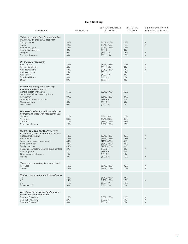### **Help-Seeking**

| <b>MEASURE</b>                                                                                                                                                                                                                                                                                        | All Students                                            | 95% CONFIDENCE<br><b>INTERVAL</b>                                                                                                                      | <b>NATIONAL</b><br>SAMPLE                                   | Significantly Different<br>from National Sample |
|-------------------------------------------------------------------------------------------------------------------------------------------------------------------------------------------------------------------------------------------------------------------------------------------------------|---------------------------------------------------------|--------------------------------------------------------------------------------------------------------------------------------------------------------|-------------------------------------------------------------|-------------------------------------------------|
| Think you needed help for emotional or<br>mental health problems, past year<br>Strongly agree<br>Agree<br>Somewhat agree<br>Somewhat disagree<br><b>Disagree</b><br>Strongly disagree                                                                                                                 | 38%<br>22%<br>16%<br>6%<br>9%<br>9%                     | $(34\%, 41\%)$<br>$(19\%, 25\%)$<br>$(14\%, 19\%)$<br>$(5\%, 8\%)$<br>$(7\%, 11\%)$<br>$(7\%, 11\%)$                                                   | 28%<br>18%<br>16%<br>6%<br>14%<br>18%                       | X<br>$\mathsf X$<br>X<br>X                      |
| Psychotropic medication<br>Any, current<br>Psychostimulants<br>Anti-depressants<br>Anti-psychotics<br>Anti-anxiety<br>Mood stabilizers<br>Other                                                                                                                                                       | 25%<br>8%<br>22%<br>$1\%$<br>9%<br>3%<br>3%             | $(22\%, 28\%)$<br>$(6\%, 10\%)$<br>$(19\%, 24\%)$<br>$(0\%, 1\%)$<br>$(7\%, 11\%)$<br>$(1\%, 4\%)$<br>$(2\%, 4\%)$                                     | 20%<br>6%<br>17%<br>$1\%$<br>8%<br>2%<br>2%                 | X<br>$\mathsf X$<br>$\times$                    |
| Prescriber (among those with any<br>past-year medication use)<br>General practitioner/nurse<br>practitioner/primary care physician<br>Psychiatrist<br>Other type of health provider<br>No prescription<br>Don't know                                                                                  | 61%<br>37%<br>4%<br>6%<br>0%                            | $(55\%, 67\%)$<br>$(31\%, 43\%)$<br>$(2\%, 6\%)$<br>$(3\%, 9\%)$<br>$(0\%, 1\%)$                                                                       | 60%<br>37%<br>4%<br>5%<br>$1\%$                             |                                                 |
| Discussed medication with provider, past<br>year (among those with medication use)<br>Not at all<br>1-2 times<br>3-5 times<br>More than 5 times                                                                                                                                                       | 11%<br>33%<br>31%<br>23%                                | $(7\%, 15\%)$<br>$(27\%, 39\%)$<br>$(25\%, 37\%)$<br>$(18\%, 28\%)$                                                                                    | 10%<br>39%<br>28%<br>22%                                    |                                                 |
| Whom you would talk to, if you were<br>experiencing serious emotional distress<br>Professional clinician<br>Roommate<br>Friend (who is not a roommate)<br>Significant other<br>Family member<br>Religious counselor / other religious contact<br>Support group<br>Other non-clinical source<br>No one | 40%<br>24%<br>44%<br>33%<br>44%<br>2%<br>3%<br>2%<br>8% | $(36\%, 43\%)$<br>$(21\%, 26\%)$<br>$(41\%, 47\%)$<br>$(30\%, 36\%)$<br>$(41\%, 47\%)$<br>$(1\%, 3\%)$<br>$(2\%, 4\%)$<br>$(1\%, 2\%)$<br>$(6\%, 9\%)$ | 33%<br>14%<br>41%<br>33%<br>41%<br>6%<br>3%<br>$1\%$<br>10% | $\mathsf X$<br>$\times$<br>X<br>X               |
| Therapy or counseling for mental health<br>Past year<br>Current                                                                                                                                                                                                                                       | 40%<br>24%                                              | $(37\%, 43\%)$<br>$(21\%, 27\%)$                                                                                                                       | 30%<br>16%                                                  | X<br>$\boldsymbol{\times}$                      |
| Visits in past year, among those with any<br>$1 - 3$<br>$4-6$<br>$7-9$<br>More than 10                                                                                                                                                                                                                | 34%<br>14%<br>11%<br>9%                                 | $(30\%, 38\%)$<br>$(11\%, 17\%)$<br>$(8\%, 13\%)$<br>$(6\%, 11\%)$                                                                                     | 37%<br>19%<br>13%<br>7%                                     | X                                               |
| Use of specific providers for therapy or<br>counseling for mental health<br>Campus Provider A<br>Campus Provider B<br>Campus Provider C                                                                                                                                                               | 15%<br>2%<br>3%                                         | $(13\%, 18\%)$<br>$(1\%, 3\%)$<br>$(2\%, 4\%)$                                                                                                         | 11%<br>1%<br>2%                                             | X<br>$\boldsymbol{\mathsf{X}}$<br>X             |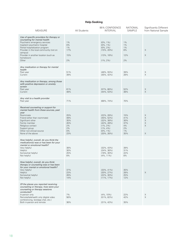### **Help-Seeking**

| <b>MEASURE</b>                                                                                                                                                                                                                                                                                       | All Students                                      | 95% CONFIDENCE<br><b>INTERVAL</b>                                                                                                      | <b>NATIONAL</b><br><b>SAMPLE</b>                     | <b>Significantly Different</b><br>from National Sample |
|------------------------------------------------------------------------------------------------------------------------------------------------------------------------------------------------------------------------------------------------------------------------------------------------------|---------------------------------------------------|----------------------------------------------------------------------------------------------------------------------------------------|------------------------------------------------------|--------------------------------------------------------|
| Use of specific providers for therapy or<br>counseling for mental health<br>Psychiatric emergency services<br>Inpatient psychiatric hospital<br>Partial hospitalization program<br>Provider in the local community (not on<br>campus)<br>Provider in another location (such as<br>hometown)<br>Other | $1\%$<br>0%<br>$1\%$<br>17%<br>15%<br>2%          | $(0\%, 1\%)$<br>$(0\%, 1\%)$<br>$(0\%, 2\%)$<br>$(15\%, 20\%)$<br>$(13\%, 18\%)$<br>$(1\%, 2\%)$                                       | $1\%$<br>$1\%$<br>$1\%$<br>8%<br>12%<br>2%           | X<br>X                                                 |
| Any medication or therapy for mental<br>health<br>Past year<br>Current                                                                                                                                                                                                                               | 51%<br>39%                                        | $(48\%, 55\%)$<br>$(35\%, 42\%)$                                                                                                       | 39%<br>28%                                           | Χ<br>X                                                 |
| Any medication or therapy, among those<br>with positive depression or anxiety<br>screen<br>Past year<br>Current                                                                                                                                                                                      | 61%<br>48%                                        | $(57\%, 66\%)$<br>$(44\%, 53\%)$                                                                                                       | 52%<br>38%                                           | X<br>X                                                 |
| Any visit to a health provider<br>Past year                                                                                                                                                                                                                                                          | 71%                                               | $(68\%, 74\%)$                                                                                                                         | 70%                                                  |                                                        |
| Received counseling or support for<br>mental health from these sources, past<br>year<br>Roommate<br>Friend (other than roommate)<br>Significant other<br>Family member<br>Religious contact<br>Support group<br>Other non-clinical source<br>None of the above                                       | 25%<br>49%<br>35%<br>45%<br>2%<br>2%<br>0%<br>23% | $(22\%, 28\%)$<br>$(45\%, 52\%)$<br>$(32\%, 38\%)$<br>$(42\%, 49\%)$<br>$(1\%, 2\%)$<br>$(1\%, 4\%)$<br>$(0\%, 1\%)$<br>$(20\%, 26\%)$ | 15%<br>41%<br>30%<br>37%<br>4%<br>2%<br>$1\%$<br>35% | X<br>X<br>X<br>Χ<br>X<br>X                             |
| How helpful, overall, do you think the<br>medication(s) was or has been for your<br>mental or emotional health?<br>Very helpful<br>Helpful<br>Somewhat helpful<br>Not helpful                                                                                                                        | 38%<br>30%<br>25%<br>8%                           | $(32\%, 43\%)$<br>$(24\%, 36\%)$<br>$(19\%, 30\%)$<br>$(4\%, 11\%)$                                                                    | 39%<br>31%<br>22%<br>8%                              |                                                        |
| How helpful, overall, do you think<br>therapy or counseling was or has been<br>for your mental or emotional health?<br>Very helpful<br>Helpful<br>Somewhat helpful<br>Not helpful                                                                                                                    | 37%<br>23%<br>26%<br>14%                          | $(33\%, 41\%)$<br>$(20\%, 27\%)$<br>$(22\%, 30\%)$<br>$(11\%, 17\%)$                                                                   | 35%<br>28%<br>25%<br>12%                             | X                                                      |
| Of the places you reported receiving<br>counseling or therapy, how were your<br>counseling or therapy sessions<br>conducted?<br>In-person only<br>Remote/telehealth only (digital video<br>conferencing, text/app chat, etc.)<br>Both in-person and remote                                           | 7%<br>56%<br>36%                                  | $(4\%, 10\%)$<br>$(51\%, 62\%)$<br>$(31\%, 42\%)$                                                                                      | 22%<br>42%<br>35%                                    | X<br>X                                                 |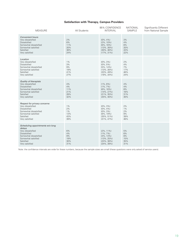### **Satisfaction with Therapy, Campus Providers**

| <b>MEASURE</b>                                                                                                                                                | All Students                           | 95% CONFIDENCE<br><b>INTERVAL</b>                                                                    | <b>NATIONAL</b><br><b>SAMPLE</b>      | Significantly Different<br>from National Sample |
|---------------------------------------------------------------------------------------------------------------------------------------------------------------|----------------------------------------|------------------------------------------------------------------------------------------------------|---------------------------------------|-------------------------------------------------|
| <b>Convenient hours</b><br>Very dissatisfied<br>Dissatisfied<br>Somewhat dissatisfied<br>Somewhat satisfied<br>Satisfied<br>Very satisfied                    | 2%<br>6%<br>11%<br>20%<br>38%<br>24%   | $(0\%, 4\%)$<br>$(2\%, 10\%)$<br>$(6\%, 16\%)$<br>$(13\%, 26\%)$<br>$(30\%, 46\%)$<br>$(17\%, 31\%)$ | 3%<br>4%<br>8%<br>20%<br>43%<br>22%   |                                                 |
| Location<br>Very dissatisfied<br>Dissatisfied<br>Somewhat dissatisfied<br>Somewhat satisfied<br>Satisfied<br>Very satisfied                                   | 1%<br>3%<br>9%<br>19%<br>41%<br>27%    | $(0\%, 3\%)$<br>$(0\%, 5\%)$<br>$(5\%, 14\%)$<br>$(13\%, 26\%)$<br>$(33\%, 49\%)$<br>$(19\%, 34\%)$  | 2%<br>4%<br>7%<br>17%<br>46%<br>24%   |                                                 |
| Quality of therapists<br>Very dissatisfied<br>Dissatisfied<br>Somewhat dissatisfied<br>Somewhat satisfied<br>Satisfied<br>Very satisfied                      | 4%<br>4%<br>11%<br>21%<br>28%<br>32%   | $(1\%, 8\%)$<br>$(1\%, 7\%)$<br>$(6\%, 16\%)$<br>$(14\%, 27\%)$<br>$(21\%, 35\%)$<br>$(25\%, 40\%)$  | 4%<br>4%<br>8%<br>16%<br>31%<br>30%   |                                                 |
| Respect for privacy concerns<br>Very dissatisfied<br>Dissatisfied<br>Somewhat dissatisfied<br>Somewhat satisfied<br>Satisfied<br>Very satisfied               | $1\%$<br>2%<br>1%<br>13%<br>43%<br>39% | $(0\%, 3\%)$<br>$(0\%, 4\%)$<br>$(0\%, 3\%)$<br>$(8\%, 19\%)$<br>$(35\%, 51\%)$<br>$(31\%, 47\%)$    | 2%<br>$1\%$<br>2%<br>9%<br>39%<br>46% |                                                 |
| Scheduling appointments w/o long<br>delays<br>Very dissatisfied<br>Dissatisfied<br>Somewhat dissatisfied<br>Somewhat satisfied<br>Satisfied<br>Very satisfied | 6%<br>4%<br>9%<br>19%<br>30%<br>31%    | $(2\%, 11\%)$<br>$(1\%, 7\%)$<br>$(4\%, 13\%)$<br>$(13\%, 25\%)$<br>$(23\%, 38\%)$<br>$(24\%, 39\%)$ | 5%<br>6%<br>8%<br>15%<br>35%<br>31%   |                                                 |

Note: the confidence intervals are wide for these numbers, because the sample sizes are small (these questions were only asked of service users).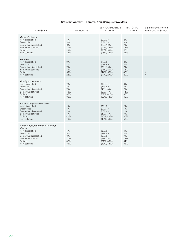### **Satisfaction with Therapy, Non-Campus Providers**

| <b>MEASURE</b>                                                                                                                                                | All Students                           | 95% CONFIDENCE<br><b>INTERVAL</b>                                                                   | <b>NATIONAL</b><br><b>SAMPLE</b>      | Significantly Different<br>from National Sample |
|---------------------------------------------------------------------------------------------------------------------------------------------------------------|----------------------------------------|-----------------------------------------------------------------------------------------------------|---------------------------------------|-------------------------------------------------|
| <b>Convenient hours</b><br>Very dissatisfied<br>Dissatisfied<br>Somewhat dissatisfied<br>Somewhat satisfied<br>Satisfied<br>Very satisfied                    | $1\%$<br>3%<br>6%<br>20%<br>45%<br>25% | $(0\%, 3\%)$<br>$(0\%, 7\%)$<br>$(1\%, 10\%)$<br>$(12\%, 28\%)$<br>$(35\%, 55\%)$<br>$(16\%, 34\%)$ | 2%<br>3%<br>7%<br>18%<br>42%<br>28%   |                                                 |
| Location<br>Very dissatisfied<br>Dissatisfied<br>Somewhat dissatisfied<br>Somewhat satisfied<br>Satisfied<br>Very satisfied                                   | 3%<br>3%<br>7%<br>16%<br>50%<br>22%    | $(1\%, 5\%)$<br>$(1\%, 5\%)$<br>$(3\%, 10\%)$<br>$(11\%, 20\%)$<br>$(44\%, 56\%)$<br>$(17\%, 27\%)$ | 2%<br>4%<br>7%<br>15%<br>43%<br>29%   | $\boldsymbol{\times}$<br>$\times$               |
| Quality of therapists<br>Very dissatisfied<br><b>Dissatisfied</b><br>Somewhat dissatisfied<br>Somewhat satisfied<br>Satisfied<br>Very satisfied               | 2%<br>5%<br>7%<br>13%<br>35%<br>38%    | $(0\%, 4\%)$<br>$(2\%, 8\%)$<br>$(4\%, 10\%)$<br>$(9\%, 17\%)$<br>$(29\%, 41\%)$<br>$(32\%, 44\%)$  | 3%<br>4%<br>7%<br>14%<br>32%<br>40%   |                                                 |
| Respect for privacy concerns<br>Very dissatisfied<br>Dissatisfied<br>Somewhat dissatisfied<br>Somewhat satisfied<br>Satisfied<br>Very satisfied               | 2%<br>1%<br>2%<br>7%<br>42%<br>46%     | $(0\%, 3\%)$<br>$(0\%, 1\%)$<br>$(0\%, 4\%)$<br>$(4\%, 11\%)$<br>$(36\%, 48\%)$<br>$(40\%, 53\%)$   | 2%<br>$1\%$<br>2%<br>7%<br>36%<br>52% |                                                 |
| Scheduling appointments w/o long<br>delays<br>Very dissatisfied<br>Dissatisfied<br>Somewhat dissatisfied<br>Somewhat satisfied<br>Satisfied<br>Very satisfied | 5%<br>5%<br>6%<br>11%<br>37%<br>36%    | $(2\%, 8\%)$<br>$(2\%, 8\%)$<br>$(3\%, 9\%)$<br>$(7\%, 15\%)$<br>$(31\%, 43\%)$<br>$(30\%, 42\%)$   | 4%<br>4%<br>7%<br>13%<br>34%<br>38%   |                                                 |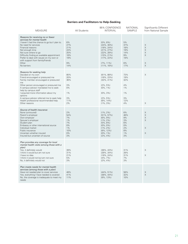### **Barriers and Facilitators to Help-Seeking**

| <b>MEASURE</b>                                                                                                                                                                                                                                                                                                                                                                                        | All Students                                                  | 95% CONFIDENCE<br><b>INTERVAL</b>                                                                                                                               | <b>NATIONAL</b><br>SAMPLE                                    | Significantly Different<br>from National Sample             |
|-------------------------------------------------------------------------------------------------------------------------------------------------------------------------------------------------------------------------------------------------------------------------------------------------------------------------------------------------------------------------------------------------------|---------------------------------------------------------------|-----------------------------------------------------------------------------------------------------------------------------------------------------------------|--------------------------------------------------------------|-------------------------------------------------------------|
| Reasons for receiving no or fewer<br>services for mental health<br>I haven't had the chance to go but I plan to.<br>No need for services<br>Financial reasons<br>Not enough time<br>Not sure where to go<br>Difficulty finding an available appointment<br>Prefer to deal with issues on my own or<br>with support from family/friends<br>Other<br>No barriers                                        | 6%<br>27%<br>21%<br>24%<br>25%<br>18%<br>19%<br>9%<br>14%     | $(5\%, 8\%)$<br>$(24\%, 30\%)$<br>$(18\%, 24\%)$<br>$(21\%, 27\%)$<br>$(22\%, 28\%)$<br>$(15\%, 21\%)$<br>$(17\%, 22\%)$<br>$(7\%, 11\%)$<br>$(11\%, 16\%)$     | 5%<br>37%<br>18%<br>19%<br>14%<br>9%<br>19%<br>6%<br>17%     | X<br>$\times$<br>$\times$<br>X<br>$\times$<br>X<br>$\times$ |
| Reasons for seeking help<br>Decided on my own<br>Friend encouraged or pressured me<br>Family member encouraged or pressured<br>me<br>Other person encouraged or pressured me<br>A campus advisor mandated me to seek<br>help by campus staff<br>I acquired more information about my<br>options<br>A campus advisor referred me to seek help<br>Health professional recommended help<br>Other reasons | 85%<br>20%<br>36%<br>3%<br>0%<br>1%<br>3%<br>11%<br>2%        | $(81\%, 88\%)$<br>$(16\%, 23\%)$<br>$(32\%, 41\%)$<br>$(2\%, 5\%)$<br>$(0\%, 1\%)$<br>$(0\%, 3\%)$<br>$(2\%, 5\%)$<br>$(8\%, 14\%)$<br>$(1\%, 3\%)$             | 73%<br>19%<br>32%<br>4%<br>$1\%$<br>1%<br>3%<br>12%<br>4%    | $\times$<br>X                                               |
| Source of health insurance<br>None (uninsured)<br>Parent's employer<br>Own employer<br>Spouse's employer<br>Student plan<br>Embassy or other international source<br>Individual market<br>Public insurance<br>Uncertain whether insured<br>Insured but uncertain of source                                                                                                                            | 2%<br>54%<br>7%<br>$1\%$<br>7%<br>0%<br>1%<br>10%<br>0%<br>3% | $(1\%, 2\%)$<br>$(51\%, 57\%)$<br>$(6\%, 9\%)$<br>$(1\%, 2\%)$<br>$(5\%, 8\%)$<br>$(0\%, 0\%)$<br>$(1\%, 2\%)$<br>$(8\%, 12\%)$<br>$(0\%, 1\%)$<br>$(2\%, 4\%)$ | 6%<br>46%<br>9%<br>3%<br>6%<br>0%<br>2%<br>8%<br>$1\%$<br>3% | X<br>X<br>X<br>$\times$<br>X<br>X                           |
| Plan provides any coverage for local<br>mental health visits (among those with a<br>plan)<br>Yes, it definitely would<br>I think it would but am not sure<br>I have no idea<br>I think it would not but am not sure<br>No, it definitely would not                                                                                                                                                    | 39%<br>31%<br>21%<br>5%<br>3%                                 | $(36\%, 43\%)$<br>$(28\%, 34\%)$<br>$(18\%, 24\%)$<br>$(4\%, 7\%)$<br>$(2\%, 4\%)$                                                                              | 31%<br>28%<br>31%<br>7%<br>3%                                | X<br>$\times$                                               |
| Plan meets needs for mental health<br>services (among those with a plan)<br>Have not needed plan to cover services<br>Yes, everything I have needed is covered<br>No, the coverage is inadequate to meet my<br>needs                                                                                                                                                                                  | 48%<br>41%<br>11%                                             | $(44\%, 51\%)$<br>$(38\%, 44\%)$<br>$(9\%, 13\%)$                                                                                                               | 58%<br>32%<br>10%                                            | X<br>$\mathsf X$                                            |